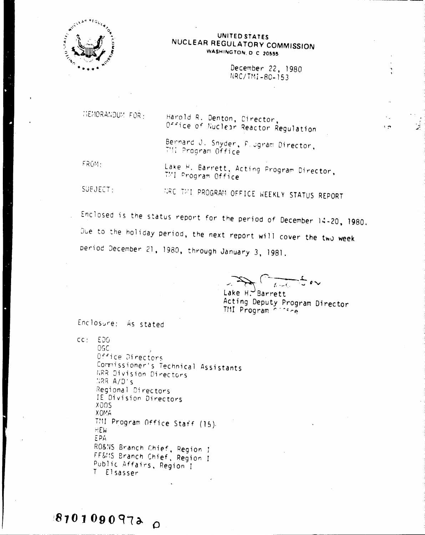

#### UNITED STATES NUCLEAR REGULATORY COMMISSION WASHINGTON, D.C. 20555

December 22, 1980 NRC/TMI-80-153

 $\sqrt{2}$ 

انتجيا

MEMORANDUM FOR :

Harold R. Denton, Director, Office of Nuclear Reactor Regulation

Bernard J. Snyder, F. Jgram Director, T'II Program Office

FROM:

Lake H. Barrett, Acting Program Director, TMI Program Office

SUBJECT:

HRC THI PROGRAM OFFICE WEEKLY STATUS REPORT

Enclosed is the status report for the period of December 14-20, 1980. Oue to the holiday period, the next report will cover the two week period December 21, 1980, through January 3, 1981.

 $\frac{1}{\sqrt{1-\frac{1}{2}}}$ 

Lake H. Barrett Acting Deputy Program Director<br>THI Program Citice

Enclosure: As stated

 $cc: E<sub>D</sub>G$ 

 $187010909720$ 

0GC Office Directors Commissioner's Technical Assistants **GRR** Division Directors HRR A/D's Regional Directors IE Division Directors XOOS **XOMA** THI Program Office Staff (15). **HEW** EPA RO&NS Branch Chief, Region J FF&MS Branch Chief, Region I Public Affairs, Region I T Elsasser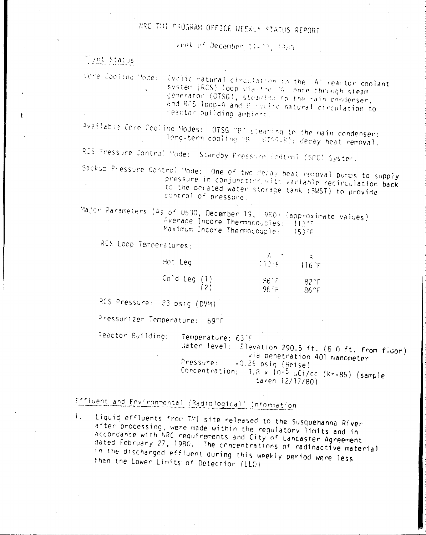## NRC THI PROGRAM OFFICE WEEKLY STATUS REPORT

keek of December 14-12, 1980

Plant Status

Cone Cooling Mode: Cyclic natural circulation in the "A" reactor coolant system (RCS) loop via the 1A' once through steam generator (CTSG), steaming to the main condenser, and RCS loop-A and B evolve natural circulation to reactor building ambient.

Available Core Cooling Modes: OTSG "B" steaming to the main condenser: long-term cooling hs (6183-8); decay heat removal.

RCS Pressure Control Mode: Standby Pressure Control (SPC) System.

Backup Pressure Control Mode: One of two decay heat removal pumps to supply pressure in conjunction with variable recirculation back to the borated water storage tank (BWST) to provide control of pressure.

Major Parameters (As of 0500, December 19, 1980) (approximate values) Average Incore Thermocouples: 113PF - Maximum Incore Thermocouple:  $15355$ 

RCS Loop Temperatures:

| Hot Leg        | and the state of the state of the<br>112.5 | 116°F        |
|----------------|--------------------------------------------|--------------|
| Cold Leg $(1)$ | -86 F                                      | $82^\circ F$ |
| (2)            | $96 - F$                                   | $86^\circ$ F |

RCS Pressure: 83 psig (DVM)

Pressurizer Temperature: 69°F

Peactor Building:

Temperature: 637F

Mater Tevel: Elevation 290.5 ft. (8 0 ft. from ficor) via penetration 401 manometer Pressure:  $-0.25$  psin (Heise) Concentration: 3.8 x 10-5 uCi/cc (Kr-85) (sample taken 12/17/80)

# Effluent and Environmental (Radiological) Information

1. Liquid effluents from TMI site released to the Susquehanna River after processing, were made within the regulatory limits and in accordance with NRC requirements and City of Lancaster Agreement dated February 27, 1980. The concentrations of radioactive material in the discharged effluent during this weekly period were less than the Lower Limits of Detection (LLD)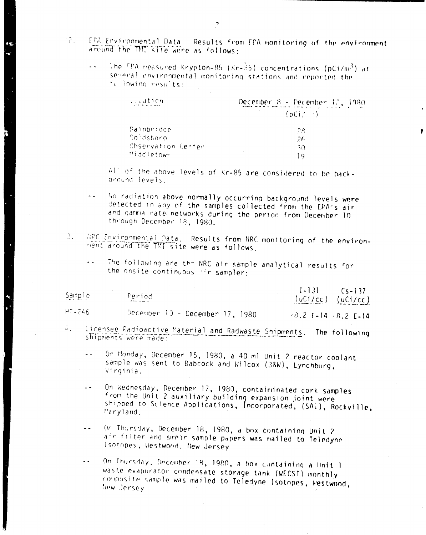- $\mathbb{R}^n$
- EPA Environmental Data Results from EPA monitoring of the environment around the TMT site were as follows:
	- The FPA measured Krypton-85 (Kr-85) concentrations (pCi/m3) at  $\sim$   $\sim$ several environmental monitoring stations and reported the fullowing results:

| Lication           | December 8 - December 12, 1980 |  |
|--------------------|--------------------------------|--|
|                    | $(pCi / \rightarrow)$          |  |
| Sainbridge         | 28                             |  |
| Goldsboro          | 26                             |  |
| Ohservation Center | 30                             |  |
| Middletown         | 0 ו                            |  |

All of the above levels of Kr-85 are considered to be backaround levels.

- No radiation above normally occurring background levels were detected in any of the samples collected from the EPA's air and gamma nate networks during the period from December 10. through December 18, 1980.
- WPC Environmental Data. Results from NRC monitoring of the environ-3. ment around the TMI site were as follows.
	- The following are the NRC air sample analytical results for  $\omega_{\rm{eff}}$ the onsite continuous "ir sampler:

| Sample    | Period<br><b>Communication</b>  |                         | $[-13]$ $C_{5-137}$<br>$(uCi/cc)$ $(uCi/cc)$ |
|-----------|---------------------------------|-------------------------|----------------------------------------------|
| HP - 246. | December 10 – December 17, 1980 | $-8.2$ E-14 $-8.2$ E-14 |                                              |

- Licensee Radioactive Material and Radwaste Shipments. The following  $\mathcal{Z}_{\mathrm{int}}$ shipments were made:
	- On Monday, December 15, 1980, a 40 ml Unit 2 reactor coolant sample was sent to Babcock and Wilcox (38W), Lynchburg, Virginia.
	- On Wednesday, December 17, 1980, contaiminated cork samples  $\sim$   $\sim$ from the Unit 2 auxiliary building expansion joint were shipped to Science Applications, Incorporated, (SAI), Rockville, Maryland.
	- On Thursday, December 18, 1980, a box containing Unit 2  $\sim$   $\sim$ air filter and smear sample pupers was mailed to Teledyne Isotopes, Westwood, New Jersey.

On Thursday, December 18, 1980, a box containing a Unit 1  $\ddot{\phantom{0}}$ waste evaporator condensate storage tank (WECST) monthly composite sample was mailed to Teledyne Isotopes, Westwood, tiew Jersey.